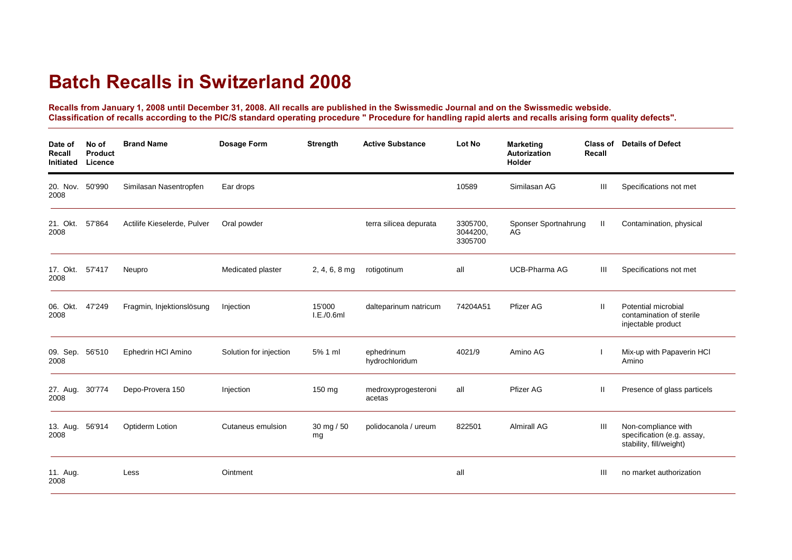## **Batch Recalls in Switzerland 2008**

**Recalls from January 1, 2008 until December 31, 2008. All recalls are published in the Swissmedic Journal and on the Swissmedic webside. Classification of recalls according to the PIC/S standard operating procedure " Procedure for handling rapid alerts and recalls arising form quality defects".**

| Date of<br>Recall<br>Initiated | No of<br>Product<br>Licence | <b>Brand Name</b>           | Dosage Form            | <b>Strength</b>      | <b>Active Substance</b>       | Lot No                          | <b>Marketing</b><br>Autorization<br>Holder | Class of<br>Recall | <b>Details of Defect</b>                                                     |
|--------------------------------|-----------------------------|-----------------------------|------------------------|----------------------|-------------------------------|---------------------------------|--------------------------------------------|--------------------|------------------------------------------------------------------------------|
| 20. Nov. 50'990<br>2008        |                             | Similasan Nasentropfen      | Ear drops              |                      |                               | 10589                           | Similasan AG                               | Ш                  | Specifications not met                                                       |
| 21. Okt.<br>2008               | 57'864                      | Actilife Kieselerde, Pulver | Oral powder            |                      | terra silicea depurata        | 3305700,<br>3044200,<br>3305700 | Sponser Sportnahrung<br>AG                 | $\mathbf{II}$      | Contamination, physical                                                      |
| 17. Okt. 57'417<br>2008        |                             | Neupro                      | Medicated plaster      | $2, 4, 6, 8$ mg      | rotigotinum                   | all                             | <b>UCB-Pharma AG</b>                       | Ш                  | Specifications not met                                                       |
| 06. Okt.<br>2008               | 47'249                      | Fragmin, Injektionslösung   | Injection              | 15'000<br>I.E./0.6ml | dalteparinum natricum         | 74204A51                        | Pfizer AG                                  | Ш                  | Potential microbial<br>contamination of sterile<br>injectable product        |
| 09. Sep. 56'510<br>2008        |                             | Ephedrin HCI Amino          | Solution for injection | 5% 1 ml              | ephedrinum<br>hydrochloridum  | 4021/9                          | Amino AG                                   |                    | Mix-up with Papaverin HCI<br>Amino                                           |
| 27. Aug. 30'774<br>2008        |                             | Depo-Provera 150            | Injection              | 150 mg               | medroxyprogesteroni<br>acetas | all                             | Pfizer AG                                  | Ш                  | Presence of glass particels                                                  |
| 13. Aug.<br>2008               | 56'914                      | <b>Optiderm Lotion</b>      | Cutaneus emulsion      | 30 mg / 50<br>mg     | polidocanola / ureum          | 822501                          | <b>Almirall AG</b>                         | Ш                  | Non-compliance with<br>specification (e.g. assay,<br>stability, fill/weight) |
| 11. Aug.<br>2008               |                             | Less                        | Ointment               |                      |                               | all                             |                                            | Ш                  | no market authorization                                                      |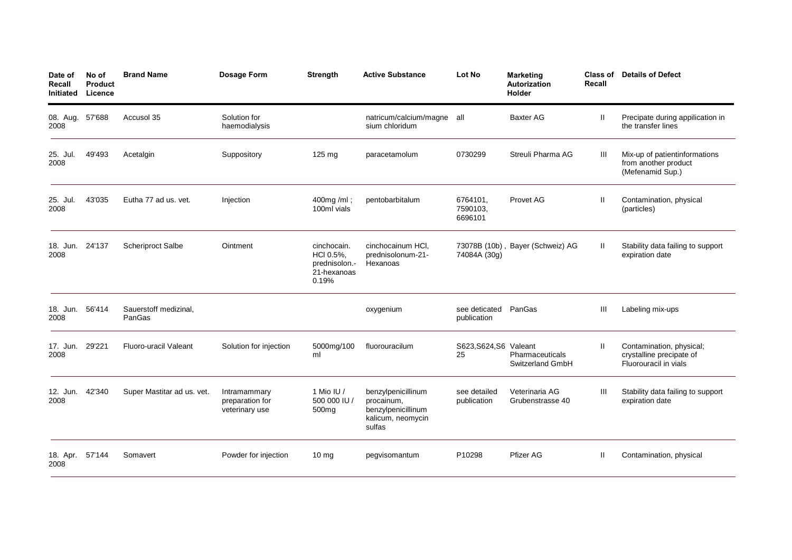| Date of<br>Recall<br>Initiated | No of<br>Product<br>Licence | <b>Brand Name</b>               | <b>Dosage Form</b>                                | <b>Strength</b>                                                   | <b>Active Substance</b>                                                               | Lot No                              | <b>Marketing</b><br>Autorization<br>Holder | Class of<br>Recall | <b>Details of Defect</b>                                                      |
|--------------------------------|-----------------------------|---------------------------------|---------------------------------------------------|-------------------------------------------------------------------|---------------------------------------------------------------------------------------|-------------------------------------|--------------------------------------------|--------------------|-------------------------------------------------------------------------------|
| 08. Aug.<br>2008               | 57'688                      | Accusol 35                      | Solution for<br>haemodialysis                     |                                                                   | natricum/calcium/magne all<br>sium chloridum                                          |                                     | <b>Baxter AG</b>                           | Ш                  | Precipate during appilication in<br>the transfer lines                        |
| 25. Jul.<br>2008               | 49'493                      | Acetalgin                       | Suppository                                       | 125 mg                                                            | paracetamolum                                                                         | 0730299                             | Streuli Pharma AG                          | Ш                  | Mix-up of patientinformations<br>from another product<br>(Mefenamid Sup.)     |
| 25. Jul.<br>2008               | 43'035                      | Eutha 77 ad us. vet.            | Injection                                         | 400mg/ml;<br>100ml vials                                          | pentobarbitalum                                                                       | 6764101,<br>7590103,<br>6696101     | Provet AG                                  | Ш                  | Contamination, physical<br>(particles)                                        |
| 18. Jun.<br>2008               | 24'137                      | <b>Scheriproct Salbe</b>        | Ointment                                          | cinchocain.<br>HCI 0.5%,<br>prednisolon.-<br>21-hexanoas<br>0.19% | cinchocainum HCI,<br>prednisolonum-21-<br>Hexanoas                                    | 74084A (30g)                        | 73078B (10b), Bayer (Schweiz) AG           | Ш                  | Stability data failing to support<br>expiration date                          |
| 18. Jun.<br>2008               | 56'414                      | Sauerstoff medizinal,<br>PanGas |                                                   |                                                                   | oxygenium                                                                             | see deticated PanGas<br>publication |                                            | Ш                  | Labeling mix-ups                                                              |
| 17. Jun. 29'221<br>2008        |                             | Fluoro-uracil Valeant           | Solution for injection                            | 5000mg/100<br>ml                                                  | fluorouracilum                                                                        | S623, S624, S6 Valeant<br>25        | Pharmaceuticals<br>Switzerland GmbH        | Ш                  | Contamination, physical;<br>crystalline precipate of<br>Fluorouracil in vials |
| 12. Jun.<br>2008               | 42'340                      | Super Mastitar ad us. vet.      | Intramammary<br>preparation for<br>veterinary use | 1 Mio IU $/$<br>500 000 IU /<br>500mg                             | benzylpenicillinum<br>procainum,<br>benzylpenicillinum<br>kalicum, neomycin<br>sulfas | see detailed<br>publication         | Veterinaria AG<br>Grubenstrasse 40         | Ш                  | Stability data failing to support<br>expiration date                          |
| 18. Apr.<br>2008               | 57'144                      | Somavert                        | Powder for injection                              | $10 \text{ mg}$                                                   | pegvisomantum                                                                         | P10298                              | <b>Pfizer AG</b>                           | Ш                  | Contamination, physical                                                       |